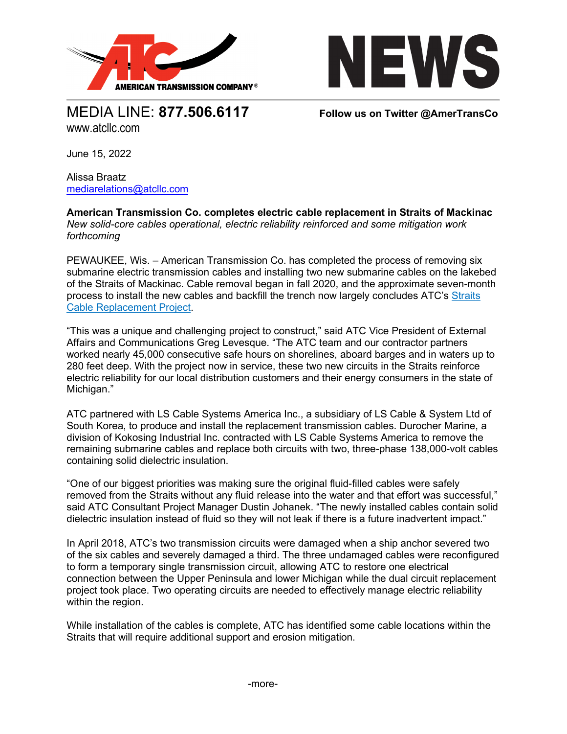



MEDIA LINE: **877.506.6117 Follow us on Twitter @AmerTransCo** www.atcllc.com

June 15, 2022

Alissa Braatz [mediarelations@atcllc.com](mailto:mediarelations@atcllc.com)

**American Transmission Co. completes electric cable replacement in Straits of Mackinac**  *New solid-core cables operational, electric reliability reinforced and some mitigation work forthcoming*

PEWAUKEE, Wis. – American Transmission Co. has completed the process of removing six submarine electric transmission cables and installing two new submarine cables on the lakebed of the Straits of Mackinac. Cable removal began in fall 2020, and the approximate seven-month process to install the new cables and backfill the trench now largely concludes ATC's [Straits](https://www.atc-projects.com/projects/straits-cable-replacement-project/)  [Cable Replacement Project.](https://www.atc-projects.com/projects/straits-cable-replacement-project/)

"This was a unique and challenging project to construct," said ATC Vice President of External Affairs and Communications Greg Levesque. "The ATC team and our contractor partners worked nearly 45,000 consecutive safe hours on shorelines, aboard barges and in waters up to 280 feet deep. With the project now in service, these two new circuits in the Straits reinforce electric reliability for our local distribution customers and their energy consumers in the state of Michigan."

ATC partnered with LS Cable Systems America Inc., a subsidiary of LS Cable & System Ltd of South Korea, to produce and install the replacement transmission cables. Durocher Marine, a division of Kokosing Industrial Inc. contracted with LS Cable Systems America to remove the remaining submarine cables and replace both circuits with two, three-phase 138,000-volt cables containing solid dielectric insulation.

"One of our biggest priorities was making sure the original fluid-filled cables were safely removed from the Straits without any fluid release into the water and that effort was successful," said ATC Consultant Project Manager Dustin Johanek. "The newly installed cables contain solid dielectric insulation instead of fluid so they will not leak if there is a future inadvertent impact."

In April 2018, ATC's two transmission circuits were damaged when a ship anchor severed two of the six cables and severely damaged a third. The three undamaged cables were reconfigured to form a temporary single transmission circuit, allowing ATC to restore one electrical connection between the Upper Peninsula and lower Michigan while the dual circuit replacement project took place. Two operating circuits are needed to effectively manage electric reliability within the region.

While installation of the cables is complete, ATC has identified some cable locations within the Straits that will require additional support and erosion mitigation.